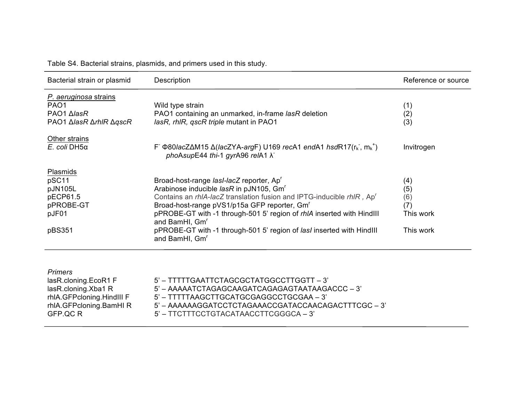Table S4. Bacterial strains, plasmids, and primers used in this study.

| Bacterial strain or plasmid                                                               | Description                                                                                                                                                                                                                                                                                                                                                                                                                                                           | Reference or source                                |
|-------------------------------------------------------------------------------------------|-----------------------------------------------------------------------------------------------------------------------------------------------------------------------------------------------------------------------------------------------------------------------------------------------------------------------------------------------------------------------------------------------------------------------------------------------------------------------|----------------------------------------------------|
| P. aeruginosa strains<br>PAO <sub>1</sub><br>PAO1 ∆lasR<br>PAO1 Δ <i>lasR ΔrhlR ΔqscR</i> | Wild type strain<br>PAO1 containing an unmarked, in-frame lasR deletion<br>lasR, rhlR, qscR triple mutant in PAO1                                                                                                                                                                                                                                                                                                                                                     | (1)<br>(2)<br>(3)                                  |
| Other strains<br>E. coli DH5a                                                             | F $\Phi$ 80/acZ $\Delta$ M15 $\Delta$ (lacZYA-argF) U169 recA1 endA1 hsdR17(r <sub>k</sub> , m <sub>k</sub> <sup>+</sup> )<br>phoAsupE44 thi-1 gyrA96 relA1 $\lambda$                                                                                                                                                                                                                                                                                                 | Invitrogen                                         |
| <b>Plasmids</b><br>pSC11<br>pJN105L<br>pECP61.5<br>pPROBE-GT<br>pJF01<br>pBS351           | Broad-host-range lasl-lacZ reporter, Ap'<br>Arabinose inducible lasR in pJN105, Gm <sup>r</sup><br>Contains an rhIA-lacZ translation fusion and IPTG-inducible rhIR, Ap <sup>r</sup><br>Broad-host-range pVS1/p15a GFP reporter, Gm <sup>r</sup><br>pPROBE-GT with -1 through-501 5' region of rhlA inserted with HindIII<br>and BamHI, Gm <sup>r</sup><br>pPROBE-GT with -1 through-501 5' region of <i>lasl</i> inserted with Hindlll<br>and BamHI, Gm <sup>r</sup> | (4)<br>(5)<br>(6)<br>(7)<br>This work<br>This work |
| <b>Primers</b>                                                                            |                                                                                                                                                                                                                                                                                                                                                                                                                                                                       |                                                    |

| lasR.cloning.EcoR1 F      | 5' - TTTTTGAATTCTAGCGCTATGGCCTTGGTT - 3'            |
|---------------------------|-----------------------------------------------------|
| lasR.cloning.Xba1 R       | 5' – AAAAATCTAGAGCAAGATCAGAGAGTAATAAGACCC – 3'      |
| rhIA.GFPcloning.HindIII F | 5' – TTTTTAAGCTTGCATGCGAGGCCTGCGAA – 3'             |
| rhIA.GFPcloning.BamHIR    | 5' – AAAAAAGGATCCTCTAGAAACCGATACCAACAGACTTTCGC – 3' |
| GFP OC R                  | 5' – TTCTTTCCTGTACATAACCTTCGGGCA – 3'               |
|                           |                                                     |